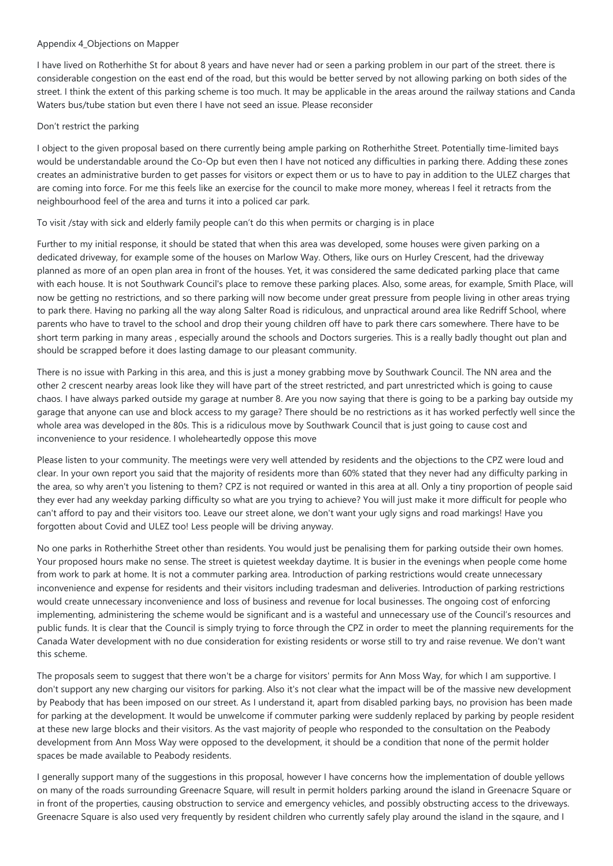# Appendix 4\_Objections on Mapper

I have lived on Rotherhithe St for about 8 years and have never had or seen a parking problem in our part of the street. there is considerable congestion on the east end of the road, but this would be better served by not allowing parking on both sides of the street. I think the extent of this parking scheme is too much. It may be applicable in the areas around the railway stations and Canda Waters bus/tube station but even there I have not seed an issue. Please reconsider

## Don't restrict the parking

I object to the given proposal based on there currently being ample parking on Rotherhithe Street. Potentially time-limited bays would be understandable around the Co-Op but even then I have not noticed any difficulties in parking there. Adding these zones creates an administrative burden to get passes for visitors or expect them or us to have to pay in addition to the ULEZ charges that are coming into force. For me this feels like an exercise for the council to make more money, whereas I feel it retracts from the neighbourhood feel of the area and turns it into a policed car park.

To visit /stay with sick and elderly family people can't do this when permits or charging is in place

Further to my initial response, it should be stated that when this area was developed, some houses were given parking on a dedicated driveway, for example some of the houses on Marlow Way. Others, like ours on Hurley Crescent, had the driveway planned as more of an open plan area in front of the houses. Yet, it was considered the same dedicated parking place that came with each house. It is not Southwark Council's place to remove these parking places. Also, some areas, for example, Smith Place, will now be getting no restrictions, and so there parking will now become under great pressure from people living in other areas trying to park there. Having no parking all the way along Salter Road is ridiculous, and unpractical around area like Redriff School, where parents who have to travel to the school and drop their young children off have to park there cars somewhere. There have to be short term parking in many areas , especially around the schools and Doctors surgeries. This is a really badly thought out plan and should be scrapped before it does lasting damage to our pleasant community.

There is no issue with Parking in this area, and this is just a money grabbing move by Southwark Council. The NN area and the other 2 crescent nearby areas look like they will have part of the street restricted, and part unrestricted which is going to cause chaos. I have always parked outside my garage at number 8. Are you now saying that there is going to be a parking bay outside my garage that anyone can use and block access to my garage? There should be no restrictions as it has worked perfectly well since the whole area was developed in the 80s. This is a ridiculous move by Southwark Council that is just going to cause cost and inconvenience to your residence. I wholeheartedly oppose this move

Please listen to your community. The meetings were very well attended by residents and the objections to the CPZ were loud and clear. In your own report you said that the majority of residents more than 60% stated that they never had any difficulty parking in the area, so why aren't you listening to them? CPZ is not required or wanted in this area at all. Only a tiny proportion of people said they ever had any weekday parking difficulty so what are you trying to achieve? You will just make it more difficult for people who can't afford to pay and their visitors too. Leave our street alone, we don't want your ugly signs and road markings! Have you forgotten about Covid and ULEZ too! Less people will be driving anyway.

No one parks in Rotherhithe Street other than residents. You would just be penalising them for parking outside their own homes. Your proposed hours make no sense. The street is quietest weekday daytime. It is busier in the evenings when people come home from work to park at home. It is not a commuter parking area. Introduction of parking restrictions would create unnecessary inconvenience and expense for residents and their visitors including tradesman and deliveries. Introduction of parking restrictions would create unnecessary inconvenience and loss of business and revenue for local businesses. The ongoing cost of enforcing implementing, administering the scheme would be significant and is a wasteful and unnecessary use of the Council's resources and public funds. It is clear that the Council is simply trying to force through the CPZ in order to meet the planning requirements for the Canada Water development with no due consideration for existing residents or worse still to try and raise revenue. We don't want this scheme.

The proposals seem to suggest that there won't be a charge for visitors' permits for Ann Moss Way, for which I am supportive. I don't support any new charging our visitors for parking. Also it's not clear what the impact will be of the massive new development by Peabody that has been imposed on our street. As I understand it, apart from disabled parking bays, no provision has been made for parking at the development. It would be unwelcome if commuter parking were suddenly replaced by parking by people resident at these new large blocks and their visitors. As the vast majority of people who responded to the consultation on the Peabody development from Ann Moss Way were opposed to the development, it should be a condition that none of the permit holder spaces be made available to Peabody residents.

I generally support many of the suggestions in this proposal, however I have concerns how the implementation of double yellows on many of the roads surrounding Greenacre Square, will result in permit holders parking around the island in Greenacre Square or in front of the properties, causing obstruction to service and emergency vehicles, and possibly obstructing access to the driveways. Greenacre Square is also used very frequently by resident children who currently safely play around the island in the sqaure, and I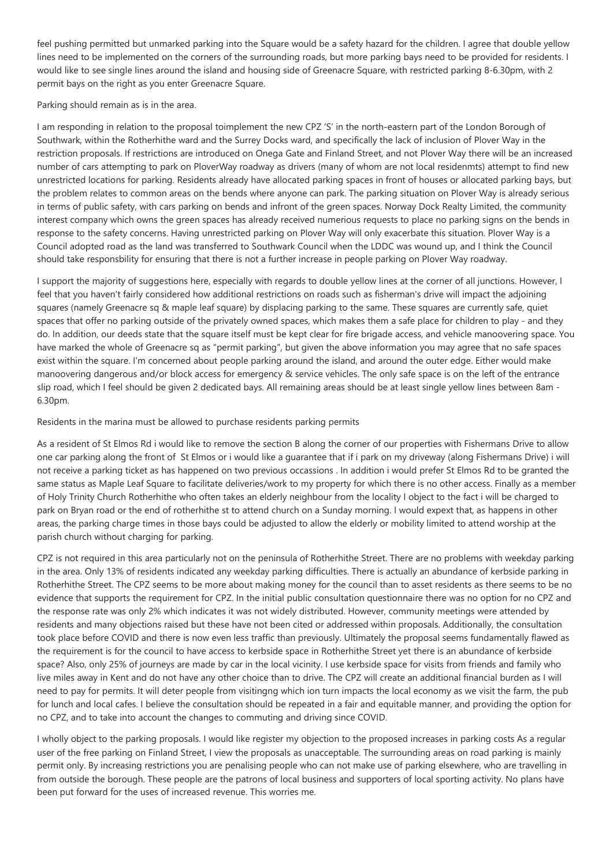feel pushing permitted but unmarked parking into the Square would be a safety hazard for the children. I agree that double yellow lines need to be implemented on the corners of the surrounding roads, but more parking bays need to be provided for residents. I would like to see single lines around the island and housing side of Greenacre Square, with restricted parking 8-6.30pm, with 2 permit bays on the right as you enter Greenacre Square.

Parking should remain as is in the area.

I am responding in relation to the proposal toimplement the new CPZ 'S' in the north-eastern part of the London Borough of Southwark, within the Rotherhithe ward and the Surrey Docks ward, and specifically the lack of inclusion of Plover Way in the restriction proposals. If restrictions are introduced on Onega Gate and Finland Street, and not Plover Way there will be an increased number of cars attempting to park on PloverWay roadway as drivers (many of whom are not local residenmts) attempt to find new unrestricted locations for parking. Residents already have allocated parking spaces in front of houses or allocated parking bays, but the problem relates to common areas on the bends where anyone can park. The parking situation on Plover Way is already serious in terms of public safety, with cars parking on bends and infront of the green spaces. Norway Dock Realty Limited, the community interest company which owns the green spaces has already received numerious requests to place no parking signs on the bends in response to the safety concerns. Having unrestricted parking on Plover Way will only exacerbate this situation. Plover Way is a Council adopted road as the land was transferred to Southwark Council when the LDDC was wound up, and I think the Council should take responsbility for ensuring that there is not a further increase in people parking on Plover Way roadway.

I support the majority of suggestions here, especially with regards to double yellow lines at the corner of all junctions. However, I feel that you haven't fairly considered how additional restrictions on roads such as fisherman's drive will impact the adjoining squares (namely Greenacre sq & maple leaf square) by displacing parking to the same. These squares are currently safe, quiet spaces that offer no parking outside of the privately owned spaces, which makes them a safe place for children to play - and they do. In addition, our deeds state that the square itself must be kept clear for fire brigade access, and vehicle manoovering space. You have marked the whole of Greenacre sq as "permit parking", but given the above information you may agree that no safe spaces exist within the square. I'm concerned about people parking around the island, and around the outer edge. Either would make manoovering dangerous and/or block access for emergency & service vehicles. The only safe space is on the left of the entrance slip road, which I feel should be given 2 dedicated bays. All remaining areas should be at least single yellow lines between 8am - 6.30pm.

Residents in the marina must be allowed to purchase residents parking permits

As a resident of St Elmos Rd i would like to remove the section B along the corner of our properties with Fishermans Drive to allow one car parking along the front of St Elmos or i would like a guarantee that if i park on my driveway (along Fishermans Drive) i will not receive a parking ticket as has happened on two previous occassions . In addition i would prefer St Elmos Rd to be granted the same status as Maple Leaf Square to facilitate deliveries/work to my property for which there is no other access. Finally as a member of Holy Trinity Church Rotherhithe who often takes an elderly neighbour from the locality I object to the fact i will be charged to park on Bryan road or the end of rotherhithe st to attend church on a Sunday morning. I would expext that, as happens in other areas, the parking charge times in those bays could be adjusted to allow the elderly or mobility limited to attend worship at the parish church without charging for parking.

CPZ is not required in this area particularly not on the peninsula of Rotherhithe Street. There are no problems with weekday parking in the area. Only 13% of residents indicated any weekday parking difficulties. There is actually an abundance of kerbside parking in Rotherhithe Street. The CPZ seems to be more about making money for the council than to asset residents as there seems to be no evidence that supports the requirement for CPZ. In the initial public consultation questionnaire there was no option for no CPZ and the response rate was only 2% which indicates it was not widely distributed. However, community meetings were attended by residents and many objections raised but these have not been cited or addressed within proposals. Additionally, the consultation took place before COVID and there is now even less traffic than previously. Ultimately the proposal seems fundamentally flawed as the requirement is for the council to have access to kerbside space in Rotherhithe Street yet there is an abundance of kerbside space? Also, only 25% of journeys are made by car in the local vicinity. I use kerbside space for visits from friends and family who live miles away in Kent and do not have any other choice than to drive. The CPZ will create an additional financial burden as I will need to pay for permits. It will deter people from visitingng which ion turn impacts the local economy as we visit the farm, the pub for lunch and local cafes. I believe the consultation should be repeated in a fair and equitable manner, and providing the option for no CPZ, and to take into account the changes to commuting and driving since COVID.

I wholly object to the parking proposals. I would like register my objection to the proposed increases in parking costs As a regular user of the free parking on Finland Street, I view the proposals as unacceptable. The surrounding areas on road parking is mainly permit only. By increasing restrictions you are penalising people who can not make use of parking elsewhere, who are travelling in from outside the borough. These people are the patrons of local business and supporters of local sporting activity. No plans have been put forward for the uses of increased revenue. This worries me.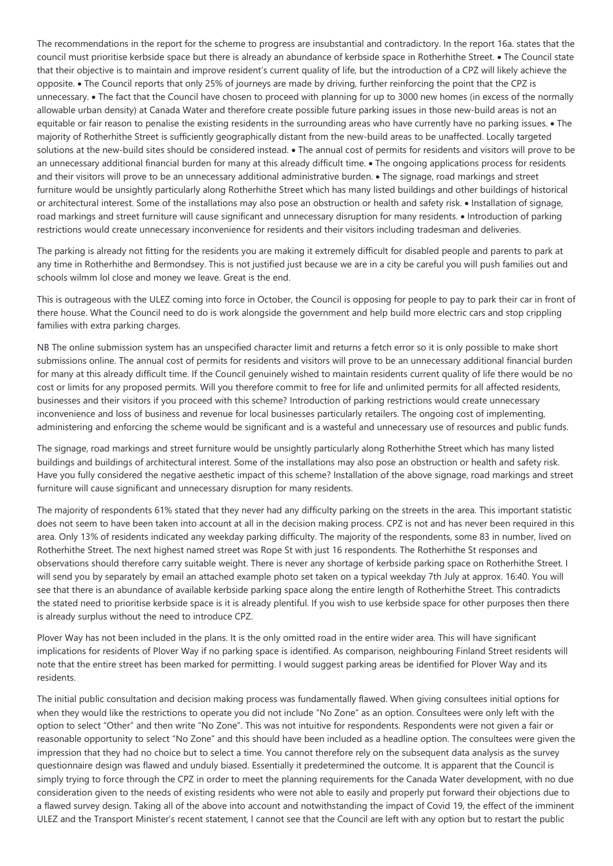The recommendations in the report for the scheme to progress are insubstantial and contradictory. In the report 16a. states that the council must prioritise kerbside space but there is already an abundance of kerbside space in Rotherhithe Street. • The Council state that their objective is to maintain and improve resident's current quality of life, but the introduction of a CPZ will likely achieve the opposite. The Council reports that only 25% of journeys are made by driving, further reinforcing the point that the CPZ is unnecessary. • The fact that the Council have chosen to proceed with planning for up to 3000 new homes (in excess of the normally allowable urban density) at Canada Water and therefore create possible future parking issues in those new-build areas is not an equitable or fair reason to penalise the existing residents in the surrounding areas who have currently have no parking issues. • The majority of Rotherhithe Street is sufficiently geographically distant from the new-build areas to be unaffected. Locally targeted solutions at the new-build sites should be considered instead.  $\bullet$  The annual cost of permits for residents and visitors will prove to be an unnecessary additional financial burden for many at this already difficult time. • The ongoing applications process for residents and their visitors will prove to be an unnecessary additional administrative burden. • The signage, road markings and street furniture would be unsightly particularly along Rotherhithe Street which has many listed buildings and other buildings of historical or architectural interest. Some of the installations may also pose an obstruction or health and safety risk. • Installation of signage, road markings and street furniture will cause significant and unnecessary disruption for many residents. • Introduction of parking restrictions would create unnecessary inconvenience for residents and their visitors including tradesman and deliveries.

The parking is already not fitting for the residents you are making it extremely difficult for disabled people and parents to park at any time in Rotherhithe and Bermondsey. This is not justified just because we are in a city be careful you will push families out and schools wilmm lol close and money we leave. Great is the end.

This is outrageous with the ULEZ coming into force in October, the Council is opposing for people to pay to park their car in front of there house. What the Council need to do is work alongside the government and help build more electric cars and stop crippling families with extra parking charges.

NB The online submission system has an unspecified character limit and returns a fetch error so it is only possible to make short submissions online. The annual cost of permits for residents and visitors will prove to be an unnecessary additional financial burden for many at this already difficult time. If the Council genuinely wished to maintain residents current quality of life there would be no cost or limits for any proposed permits. Will you therefore commit to free for life and unlimited permits for all affected residents, businesses and their visitors if you proceed with this scheme? Introduction of parking restrictions would create unnecessary inconvenience and loss of business and revenue for local businesses particularly retailers. The ongoing cost of implementing, administering and enforcing the scheme would be significant and is a wasteful and unnecessary use of resources and public funds.

The signage, road markings and street furniture would be unsightly particularly along Rotherhithe Street which has many listed buildings and buildings of architectural interest. Some of the installations may also pose an obstruction or health and safety risk. Have you fully considered the negative aesthetic impact of this scheme? Installation of the above signage, road markings and street furniture will cause significant and unnecessary disruption for many residents.

The majority of respondents 61% stated that they never had any difficulty parking on the streets in the area. This important statistic does not seem to have been taken into account at all in the decision making process. CPZ is not and has never been required in this area. Only 13% of residents indicated any weekday parking difficulty. The majority of the respondents, some 83 in number, lived on Rotherhithe Street. The next highest named street was Rope St with just 16 respondents. The Rotherhithe St responses and observations should therefore carry suitable weight. There is never any shortage of kerbside parking space on Rotherhithe Street. I will send you by separately by email an attached example photo set taken on a typical weekday 7th July at approx. 16:40. You will see that there is an abundance of available kerbside parking space along the entire length of Rotherhithe Street. This contradicts the stated need to prioritise kerbside space is it is already plentiful. If you wish to use kerbside space for other purposes then there is already surplus without the need to introduce CPZ.

Plover Way has not been included in the plans. It is the only omitted road in the entire wider area. This will have significant implications for residents of Plover Way if no parking space is identified. As comparison, neighbouring Finland Street residents will note that the entire street has been marked for permitting. I would suggest parking areas be identified for Plover Way and its residents.

The initial public consultation and decision making process was fundamentally flawed. When giving consultees initial options for when they would like the restrictions to operate you did not include "No Zone" as an option. Consultees were only left with the option to select "Other" and then write "No Zone". This was not intuitive for respondents. Respondents were not given a fair or reasonable opportunity to select "No Zone" and this should have been included as a headline option. The consultees were given the impression that they had no choice but to select a time. You cannot therefore rely on the subsequent data analysis as the survey questionnaire design was flawed and unduly biased. Essentially it predetermined the outcome. It is apparent that the Council is simply trying to force through the CPZ in order to meet the planning requirements for the Canada Water development, with no due consideration given to the needs of existing residents who were not able to easily and properly put forward their objections due to a flawed survey design. Taking all of the above into account and notwithstanding the impact of Covid 19, the effect of the imminent ULEZ and the Transport Minister's recent statement, I cannot see that the Council are left with any option but to restart the public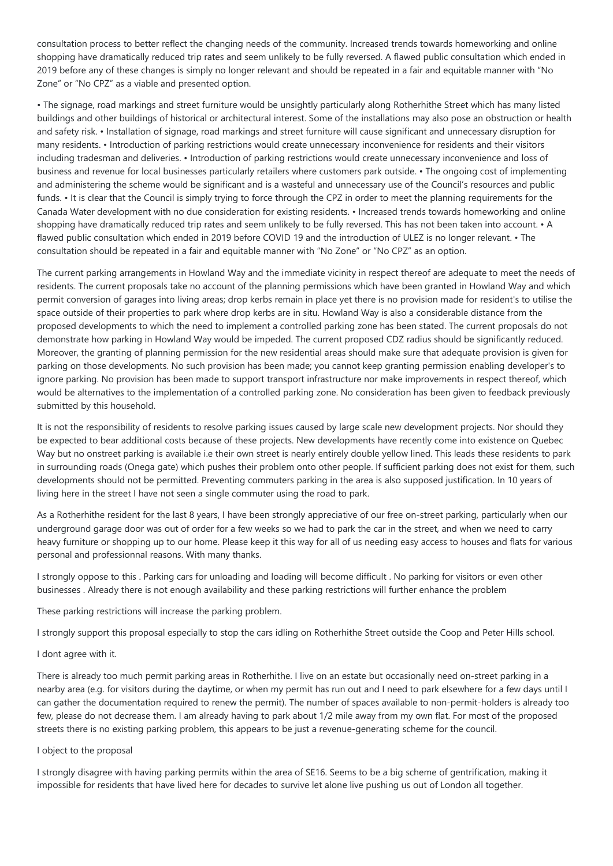consultation process to better reflect the changing needs of the community. Increased trends towards homeworking and online shopping have dramatically reduced trip rates and seem unlikely to be fully reversed. A flawed public consultation which ended in 2019 before any of these changes is simply no longer relevant and should be repeated in a fair and equitable manner with "No Zone" or "No CPZ" as a viable and presented option.

• The signage, road markings and street furniture would be unsightly particularly along Rotherhithe Street which has many listed buildings and other buildings of historical or architectural interest. Some of the installations may also pose an obstruction or health and safety risk. • Installation of signage, road markings and street furniture will cause significant and unnecessary disruption for many residents. • Introduction of parking restrictions would create unnecessary inconvenience for residents and their visitors including tradesman and deliveries. • Introduction of parking restrictions would create unnecessary inconvenience and loss of business and revenue for local businesses particularly retailers where customers park outside. • The ongoing cost of implementing and administering the scheme would be significant and is a wasteful and unnecessary use of the Council's resources and public funds. • It is clear that the Council is simply trying to force through the CPZ in order to meet the planning requirements for the Canada Water development with no due consideration for existing residents. • Increased trends towards homeworking and online shopping have dramatically reduced trip rates and seem unlikely to be fully reversed. This has not been taken into account. • A flawed public consultation which ended in 2019 before COVID 19 and the introduction of ULEZ is no longer relevant. • The consultation should be repeated in a fair and equitable manner with "No Zone" or "No CPZ" as an option.

The current parking arrangements in Howland Way and the immediate vicinity in respect thereof are adequate to meet the needs of residents. The current proposals take no account of the planning permissions which have been granted in Howland Way and which permit conversion of garages into living areas; drop kerbs remain in place yet there is no provision made for resident's to utilise the space outside of their properties to park where drop kerbs are in situ. Howland Way is also a considerable distance from the proposed developments to which the need to implement a controlled parking zone has been stated. The current proposals do not demonstrate how parking in Howland Way would be impeded. The current proposed CDZ radius should be significantly reduced. Moreover, the granting of planning permission for the new residential areas should make sure that adequate provision is given for parking on those developments. No such provision has been made; you cannot keep granting permission enabling developer's to ignore parking. No provision has been made to support transport infrastructure nor make improvements in respect thereof, which would be alternatives to the implementation of a controlled parking zone. No consideration has been given to feedback previously submitted by this household.

It is not the responsibility of residents to resolve parking issues caused by large scale new development projects. Nor should they be expected to bear additional costs because of these projects. New developments have recently come into existence on Quebec Way but no onstreet parking is available i.e their own street is nearly entirely double yellow lined. This leads these residents to park in surrounding roads (Onega gate) which pushes their problem onto other people. If sufficient parking does not exist for them, such developments should not be permitted. Preventing commuters parking in the area is also supposed justification. In 10 years of living here in the street I have not seen a single commuter using the road to park.

As a Rotherhithe resident for the last 8 years, I have been strongly appreciative of our free on-street parking, particularly when our underground garage door was out of order for a few weeks so we had to park the car in the street, and when we need to carry heavy furniture or shopping up to our home. Please keep it this way for all of us needing easy access to houses and flats for various personal and professionnal reasons. With many thanks.

I strongly oppose to this . Parking cars for unloading and loading will become difficult . No parking for visitors or even other businesses . Already there is not enough availability and these parking restrictions will further enhance the problem

These parking restrictions will increase the parking problem.

I strongly support this proposal especially to stop the cars idling on Rotherhithe Street outside the Coop and Peter Hills school.

I dont agree with it.

There is already too much permit parking areas in Rotherhithe. I live on an estate but occasionally need on-street parking in a nearby area (e.g. for visitors during the daytime, or when my permit has run out and I need to park elsewhere for a few days until I can gather the documentation required to renew the permit). The number of spaces available to non-permit-holders is already too few, please do not decrease them. I am already having to park about 1/2 mile away from my own flat. For most of the proposed streets there is no existing parking problem, this appears to be just a revenue-generating scheme for the council.

### I object to the proposal

I strongly disagree with having parking permits within the area of SE16. Seems to be a big scheme of gentrification, making it impossible for residents that have lived here for decades to survive let alone live pushing us out of London all together.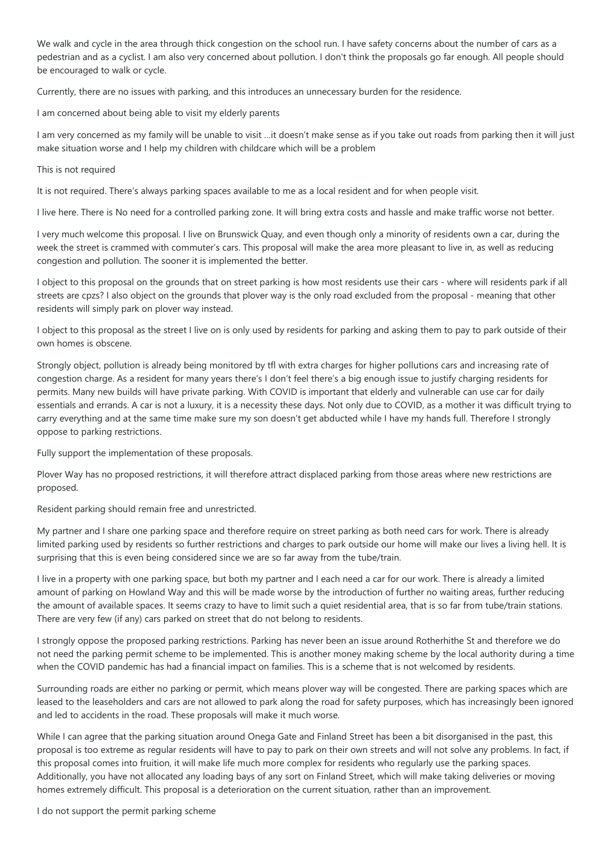We walk and cycle in the area through thick congestion on the school run. I have safety concerns about the number of cars as a pedestrian and as a cyclist. I am also very concerned about pollution. I don't think the proposals go far enough. All people should be encouraged to walk or cycle.

Currently, there are no issues with parking, and this introduces an unnecessary burden for the residence.

I am concerned about being able to visit my elderly parents

I am very concerned as my family will be unable to visit …it doesn't make sense as if you take out roads from parking then it will just make situation worse and I help my children with childcare which will be a problem

#### This is not required

It is not required. There's always parking spaces available to me as a local resident and for when people visit.

I live here. There is No need for a controlled parking zone. It will bring extra costs and hassle and make traffic worse not better.

I very much welcome this proposal. I live on Brunswick Quay, and even though only a minority of residents own a car, during the week the street is crammed with commuter's cars. This proposal will make the area more pleasant to live in, as well as reducing congestion and pollution. The sooner it is implemented the better.

I object to this proposal on the grounds that on street parking is how most residents use their cars - where will residents park if all streets are cpzs? I also object on the grounds that plover way is the only road excluded from the proposal - meaning that other residents will simply park on plover way instead.

I object to this proposal as the street I live on is only used by residents for parking and asking them to pay to park outside of their own homes is obscene.

Strongly object, pollution is already being monitored by tfl with extra charges for higher pollutions cars and increasing rate of congestion charge. As a resident for many years there's I don't feel there's a big enough issue to justify charging residents for permits. Many new builds will have private parking. With COVID is important that elderly and vulnerable can use car for daily essentials and errands. A car is not a luxury, it is a necessity these days. Not only due to COVID, as a mother it was difficult trying to carry everything and at the same time make sure my son doesn't get abducted while I have my hands full. Therefore I strongly oppose to parking restrictions.

Fully support the implementation of these proposals.

Plover Way has no proposed restrictions, it will therefore attract displaced parking from those areas where new restrictions are proposed.

Resident parking should remain free and unrestricted.

My partner and I share one parking space and therefore require on street parking as both need cars for work. There is already limited parking used by residents so further restrictions and charges to park outside our home will make our lives a living hell. It is surprising that this is even being considered since we are so far away from the tube/train.

I live in a property with one parking space, but both my partner and I each need a car for our work. There is already a limited amount of parking on Howland Way and this will be made worse by the introduction of further no waiting areas, further reducing the amount of available spaces. It seems crazy to have to limit such a quiet residential area, that is so far from tube/train stations. There are very few (if any) cars parked on street that do not belong to residents.

I strongly oppose the proposed parking restrictions. Parking has never been an issue around Rotherhithe St and therefore we do not need the parking permit scheme to be implemented. This is another money making scheme by the local authority during a time when the COVID pandemic has had a financial impact on families. This is a scheme that is not welcomed by residents.

Surrounding roads are either no parking or permit, which means plover way will be congested. There are parking spaces which are leased to the leaseholders and cars are not allowed to park along the road for safety purposes, which has increasingly been ignored and led to accidents in the road. These proposals will make it much worse.

While I can agree that the parking situation around Onega Gate and Finland Street has been a bit disorganised in the past, this proposal is too extreme as regular residents will have to pay to park on their own streets and will not solve any problems. In fact, if this proposal comes into fruition, it will make life much more complex for residents who regularly use the parking spaces. Additionally, you have not allocated any loading bays of any sort on Finland Street, which will make taking deliveries or moving homes extremely difficult. This proposal is a deterioration on the current situation, rather than an improvement.

I do not support the permit parking scheme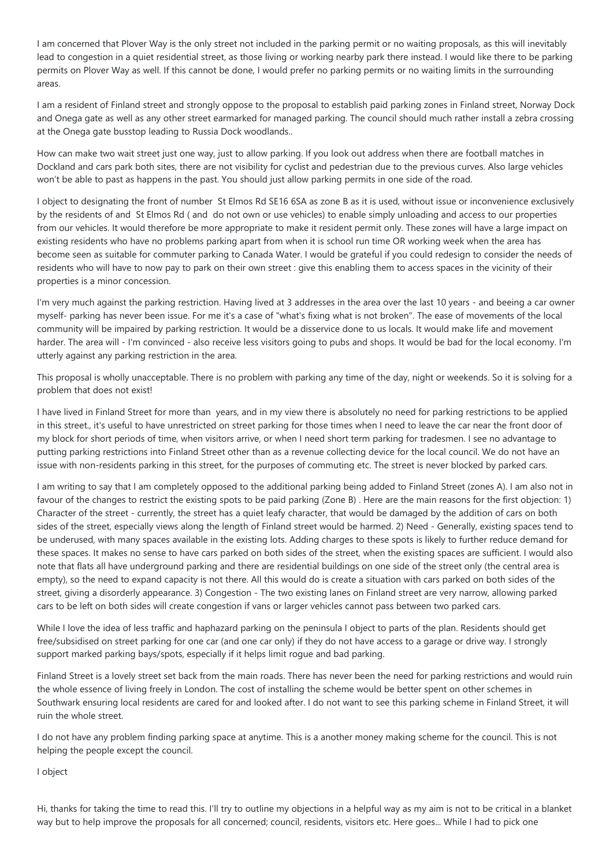I am concerned that Plover Way is the only street not included in the parking permit or no waiting proposals, as this will inevitably lead to congestion in a quiet residential street, as those living or working nearby park there instead. I would like there to be parking permits on Plover Way as well. If this cannot be done, I would prefer no parking permits or no waiting limits in the surrounding areas.

I am a resident of Finland street and strongly oppose to the proposal to establish paid parking zones in Finland street, Norway Dock and Onega gate as well as any other street earmarked for managed parking. The council should much rather install a zebra crossing at the Onega gate busstop leading to Russia Dock woodlands..

How can make two wait street just one way, just to allow parking. If you look out address when there are football matches in Dockland and cars park both sites, there are not visibility for cyclist and pedestrian due to the previous curves. Also large vehicles won't be able to past as happens in the past. You should just allow parking permits in one side of the road.

I object to designating the front of number St Elmos Rd SE16 6SA as zone B as it is used, without issue or inconvenience exclusively by the residents of and St Elmos Rd ( and do not own or use vehicles) to enable simply unloading and access to our properties from our vehicles. It would therefore be more appropriate to make it resident permit only. These zones will have a large impact on existing residents who have no problems parking apart from when it is school run time OR working week when the area has become seen as suitable for commuter parking to Canada Water. I would be grateful if you could redesign to consider the needs of residents who will have to now pay to park on their own street : give this enabling them to access spaces in the vicinity of their properties is a minor concession.

I'm very much against the parking restriction. Having lived at 3 addresses in the area over the last 10 years - and beeing a car owner myself- parking has never been issue. For me it's a case of "what's fixing what is not broken". The ease of movements of the local community will be impaired by parking restriction. It would be a disservice done to us locals. It would make life and movement harder. The area will - I'm convinced - also receive less visitors going to pubs and shops. It would be bad for the local economy. I'm utterly against any parking restriction in the area.

This proposal is wholly unacceptable. There is no problem with parking any time of the day, night or weekends. So it is solving for a problem that does not exist!

I have lived in Finland Street for more than years, and in my view there is absolutely no need for parking restrictions to be applied in this street., it's useful to have unrestricted on street parking for those times when I need to leave the car near the front door of my block for short periods of time, when visitors arrive, or when I need short term parking for tradesmen. I see no advantage to putting parking restrictions into Finland Street other than as a revenue collecting device for the local council. We do not have an issue with non-residents parking in this street, for the purposes of commuting etc. The street is never blocked by parked cars.

I am writing to say that I am completely opposed to the additional parking being added to Finland Street (zones A). I am also not in favour of the changes to restrict the existing spots to be paid parking (Zone B) . Here are the main reasons for the first objection: 1) Character of the street - currently, the street has a quiet leafy character, that would be damaged by the addition of cars on both sides of the street, especially views along the length of Finland street would be harmed. 2) Need - Generally, existing spaces tend to be underused, with many spaces available in the existing lots. Adding charges to these spots is likely to further reduce demand for these spaces. It makes no sense to have cars parked on both sides of the street, when the existing spaces are sufficient. I would also note that flats all have underground parking and there are residential buildings on one side of the street only (the central area is empty), so the need to expand capacity is not there. All this would do is create a situation with cars parked on both sides of the street, giving a disorderly appearance. 3) Congestion - The two existing lanes on Finland street are very narrow, allowing parked cars to be left on both sides will create congestion if vans or larger vehicles cannot pass between two parked cars.

While I love the idea of less traffic and haphazard parking on the peninsula I object to parts of the plan. Residents should get free/subsidised on street parking for one car (and one car only) if they do not have access to a garage or drive way. I strongly support marked parking bays/spots, especially if it helps limit rogue and bad parking.

Finland Street is a lovely street set back from the main roads. There has never been the need for parking restrictions and would ruin the whole essence of living freely in London. The cost of installing the scheme would be better spent on other schemes in Southwark ensuring local residents are cared for and looked after. I do not want to see this parking scheme in Finland Street, it will ruin the whole street.

I do not have any problem finding parking space at anytime. This is a another money making scheme for the council. This is not helping the people except the council.

I object

Hi, thanks for taking the time to read this. I'll try to outline my objections in a helpful way as my aim is not to be critical in a blanket way but to help improve the proposals for all concerned; council, residents, visitors etc. Here goes... While I had to pick one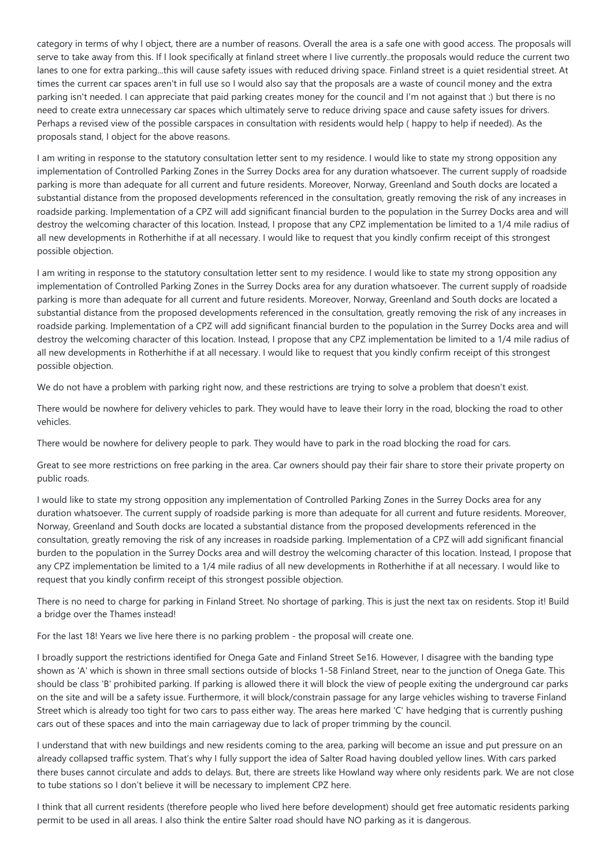category in terms of why I object, there are a number of reasons. Overall the area is a safe one with good access. The proposals will serve to take away from this. If I look specifically at finland street where I live currently..the proposals would reduce the current two lanes to one for extra parking...this will cause safety issues with reduced driving space. Finland street is a quiet residential street. At times the current car spaces aren't in full use so I would also say that the proposals are a waste of council money and the extra parking isn't needed. I can appreciate that paid parking creates money for the council and I'm not against that :) but there is no need to create extra unnecessary car spaces which ultimately serve to reduce driving space and cause safety issues for drivers. Perhaps a revised view of the possible carspaces in consultation with residents would help ( happy to help if needed). As the proposals stand, I object for the above reasons.

I am writing in response to the statutory consultation letter sent to my residence. I would like to state my strong opposition any implementation of Controlled Parking Zones in the Surrey Docks area for any duration whatsoever. The current supply of roadside parking is more than adequate for all current and future residents. Moreover, Norway, Greenland and South docks are located a substantial distance from the proposed developments referenced in the consultation, greatly removing the risk of any increases in roadside parking. Implementation of a CPZ will add significant financial burden to the population in the Surrey Docks area and will destroy the welcoming character of this location. Instead, I propose that any CPZ implementation be limited to a 1/4 mile radius of all new developments in Rotherhithe if at all necessary. I would like to request that you kindly confirm receipt of this strongest possible objection.

I am writing in response to the statutory consultation letter sent to my residence. I would like to state my strong opposition any implementation of Controlled Parking Zones in the Surrey Docks area for any duration whatsoever. The current supply of roadside parking is more than adequate for all current and future residents. Moreover, Norway, Greenland and South docks are located a substantial distance from the proposed developments referenced in the consultation, greatly removing the risk of any increases in roadside parking. Implementation of a CPZ will add significant financial burden to the population in the Surrey Docks area and will destroy the welcoming character of this location. Instead, I propose that any CPZ implementation be limited to a 1/4 mile radius of all new developments in Rotherhithe if at all necessary. I would like to request that you kindly confirm receipt of this strongest possible objection.

We do not have a problem with parking right now, and these restrictions are trying to solve a problem that doesn't exist.

There would be nowhere for delivery vehicles to park. They would have to leave their lorry in the road, blocking the road to other vehicles.

There would be nowhere for delivery people to park. They would have to park in the road blocking the road for cars.

Great to see more restrictions on free parking in the area. Car owners should pay their fair share to store their private property on public roads.

I would like to state my strong opposition any implementation of Controlled Parking Zones in the Surrey Docks area for any duration whatsoever. The current supply of roadside parking is more than adequate for all current and future residents. Moreover, Norway, Greenland and South docks are located a substantial distance from the proposed developments referenced in the consultation, greatly removing the risk of any increases in roadside parking. Implementation of a CPZ will add significant financial burden to the population in the Surrey Docks area and will destroy the welcoming character of this location. Instead, I propose that any CPZ implementation be limited to a 1/4 mile radius of all new developments in Rotherhithe if at all necessary. I would like to request that you kindly confirm receipt of this strongest possible objection.

There is no need to charge for parking in Finland Street. No shortage of parking. This is just the next tax on residents. Stop it! Build a bridge over the Thames instead!

For the last 18! Years we live here there is no parking problem - the proposal will create one.

I broadly support the restrictions identified for Onega Gate and Finland Street Se16. However, I disagree with the banding type shown as 'A' which is shown in three small sections outside of blocks 1-58 Finland Street, near to the junction of Onega Gate. This should be class 'B' prohibited parking. If parking is allowed there it will block the view of people exiting the underground car parks on the site and will be a safety issue. Furthermore, it will block/constrain passage for any large vehicles wishing to traverse Finland Street which is already too tight for two cars to pass either way. The areas here marked 'C' have hedging that is currently pushing cars out of these spaces and into the main carriageway due to lack of proper trimming by the council.

I understand that with new buildings and new residents coming to the area, parking will become an issue and put pressure on an already collapsed traffic system. That's why I fully support the idea of Salter Road having doubled yellow lines. With cars parked there buses cannot circulate and adds to delays. But, there are streets like Howland way where only residents park. We are not close to tube stations so I don't believe it will be necessary to implement CPZ here.

I think that all current residents (therefore people who lived here before development) should get free automatic residents parking permit to be used in all areas. I also think the entire Salter road should have NO parking as it is dangerous.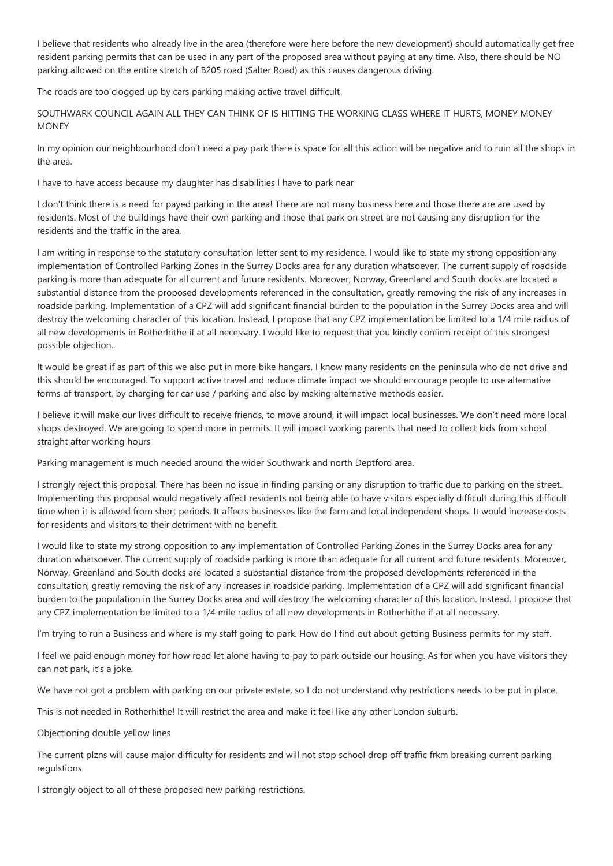I believe that residents who already live in the area (therefore were here before the new development) should automatically get free resident parking permits that can be used in any part of the proposed area without paying at any time. Also, there should be NO parking allowed on the entire stretch of B205 road (Salter Road) as this causes dangerous driving.

The roads are too clogged up by cars parking making active travel difficult

SOUTHWARK COUNCIL AGAIN ALL THEY CAN THINK OF IS HITTING THE WORKING CLASS WHERE IT HURTS, MONEY MONEY **MONEY** 

In my opinion our neighbourhood don't need a pay park there is space for all this action will be negative and to ruin all the shops in the area.

I have to have access because my daughter has disabilities l have to park near

I don't think there is a need for payed parking in the area! There are not many business here and those there are are used by residents. Most of the buildings have their own parking and those that park on street are not causing any disruption for the residents and the traffic in the area.

I am writing in response to the statutory consultation letter sent to my residence. I would like to state my strong opposition any implementation of Controlled Parking Zones in the Surrey Docks area for any duration whatsoever. The current supply of roadside parking is more than adequate for all current and future residents. Moreover, Norway, Greenland and South docks are located a substantial distance from the proposed developments referenced in the consultation, greatly removing the risk of any increases in roadside parking. Implementation of a CPZ will add significant financial burden to the population in the Surrey Docks area and will destroy the welcoming character of this location. Instead, I propose that any CPZ implementation be limited to a 1/4 mile radius of all new developments in Rotherhithe if at all necessary. I would like to request that you kindly confirm receipt of this strongest possible objection..

It would be great if as part of this we also put in more bike hangars. I know many residents on the peninsula who do not drive and this should be encouraged. To support active travel and reduce climate impact we should encourage people to use alternative forms of transport, by charging for car use / parking and also by making alternative methods easier.

I believe it will make our lives difficult to receive friends, to move around, it will impact local businesses. We don't need more local shops destroyed. We are going to spend more in permits. It will impact working parents that need to collect kids from school straight after working hours

Parking management is much needed around the wider Southwark and north Deptford area.

I strongly reject this proposal. There has been no issue in finding parking or any disruption to traffic due to parking on the street. Implementing this proposal would negatively affect residents not being able to have visitors especially difficult during this difficult time when it is allowed from short periods. It affects businesses like the farm and local independent shops. It would increase costs for residents and visitors to their detriment with no benefit.

I would like to state my strong opposition to any implementation of Controlled Parking Zones in the Surrey Docks area for any duration whatsoever. The current supply of roadside parking is more than adequate for all current and future residents. Moreover, Norway, Greenland and South docks are located a substantial distance from the proposed developments referenced in the consultation, greatly removing the risk of any increases in roadside parking. Implementation of a CPZ will add significant financial burden to the population in the Surrey Docks area and will destroy the welcoming character of this location. Instead, I propose that any CPZ implementation be limited to a 1/4 mile radius of all new developments in Rotherhithe if at all necessary.

I'm trying to run a Business and where is my staff going to park. How do I find out about getting Business permits for my staff.

I feel we paid enough money for how road let alone having to pay to park outside our housing. As for when you have visitors they can not park, it's a joke.

We have not got a problem with parking on our private estate, so I do not understand why restrictions needs to be put in place.

This is not needed in Rotherhithe! It will restrict the area and make it feel like any other London suburb.

Objectioning double yellow lines

The current plzns will cause major difficulty for residents znd will not stop school drop off traffic frkm breaking current parking regulstions.

I strongly object to all of these proposed new parking restrictions.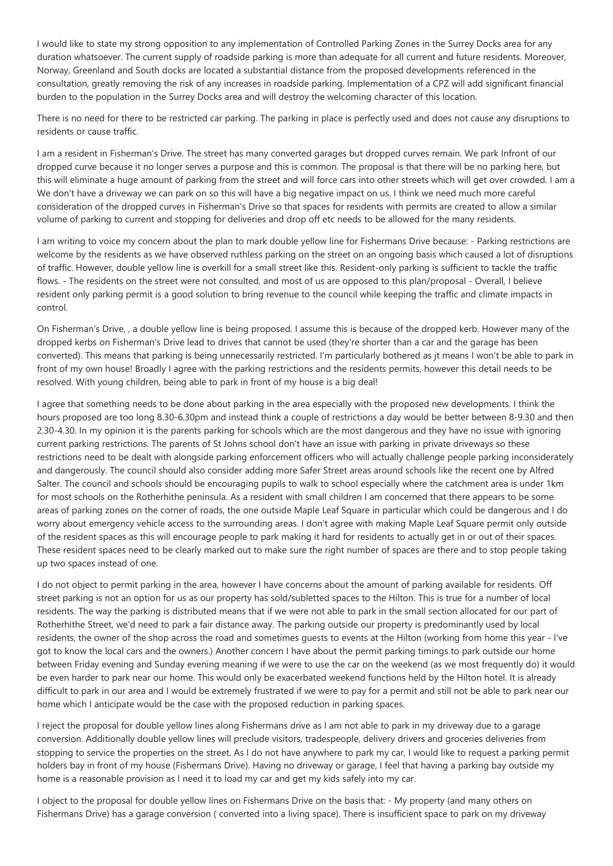I would like to state my strong opposition to any implementation of Controlled Parking Zones in the Surrey Docks area for any duration whatsoever. The current supply of roadside parking is more than adequate for all current and future residents. Moreover, Norway, Greenland and South docks are located a substantial distance from the proposed developments referenced in the consultation, greatly removing the risk of any increases in roadside parking. Implementation of a CPZ will add significant financial burden to the population in the Surrey Docks area and will destroy the welcoming character of this location.

There is no need for there to be restricted car parking. The parking in place is perfectly used and does not cause any disruptions to residents or cause traffic.

I am a resident in Fisherman's Drive. The street has many converted garages but dropped curves remain. We park Infront of our dropped curve because it no longer serves a purpose and this is common. The proposal is that there will be no parking here, but this will eliminate a huge amount of parking from the street and will force cars into other streets which will get over crowded. I am a We don't have a driveway we can park on so this will have a big negative impact on us. I think we need much more careful consideration of the dropped curves in Fisherman's Drive so that spaces for residents with permits are created to allow a similar volume of parking to current and stopping for deliveries and drop off etc needs to be allowed for the many residents.

I am writing to voice my concern about the plan to mark double yellow line for Fishermans Drive because: - Parking restrictions are welcome by the residents as we have observed ruthless parking on the street on an ongoing basis which caused a lot of disruptions of traffic. However, double yellow line is overkill for a small street like this. Resident-only parking is sufficient to tackle the traffic flows. - The residents on the street were not consulted, and most of us are opposed to this plan/proposal - Overall, I believe resident only parking permit is a good solution to bring revenue to the council while keeping the traffic and climate impacts in control.

On Fisherman's Drive, , a double yellow line is being proposed. I assume this is because of the dropped kerb. However many of the dropped kerbs on Fisherman's Drive lead to drives that cannot be used (they're shorter than a car and the garage has been converted). This means that parking is being unnecessarily restricted. I'm particularly bothered as jt means I won't be able to park in front of my own house! Broadly I agree with the parking restrictions and the residents permits, however this detail needs to be resolved. With young children, being able to park in front of my house is a big deal!

I agree that something needs to be done about parking in the area especially with the proposed new developments. I think the hours proposed are too long 8.30-6.30pm and instead think a couple of restrictions a day would be better between 8-9.30 and then 2.30-4.30. In my opinion it is the parents parking for schools which are the most dangerous and they have no issue with ignoring current parking restrictions. The parents of St Johns school don't have an issue with parking in private driveways so these restrictions need to be dealt with alongside parking enforcement officers who will actually challenge people parking inconsiderately and dangerously. The council should also consider adding more Safer Street areas around schools like the recent one by Alfred Salter. The council and schools should be encouraging pupils to walk to school especially where the catchment area is under 1km for most schools on the Rotherhithe peninsula. As a resident with small children I am concerned that there appears to be some areas of parking zones on the corner of roads, the one outside Maple Leaf Square in particular which could be dangerous and I do worry about emergency vehicle access to the surrounding areas. I don't agree with making Maple Leaf Square permit only outside of the resident spaces as this will encourage people to park making it hard for residents to actually get in or out of their spaces. These resident spaces need to be clearly marked out to make sure the right number of spaces are there and to stop people taking up two spaces instead of one.

I do not object to permit parking in the area, however I have concerns about the amount of parking available for residents. Off street parking is not an option for us as our property has sold/subletted spaces to the Hilton. This is true for a number of local residents. The way the parking is distributed means that if we were not able to park in the small section allocated for our part of Rotherhithe Street, we'd need to park a fair distance away. The parking outside our property is predominantly used by local residents, the owner of the shop across the road and sometimes guests to events at the Hilton (working from home this year - I've got to know the local cars and the owners.) Another concern I have about the permit parking timings to park outside our home between Friday evening and Sunday evening meaning if we were to use the car on the weekend (as we most frequently do) it would be even harder to park near our home. This would only be exacerbated weekend functions held by the Hilton hotel. It is already difficult to park in our area and I would be extremely frustrated if we were to pay for a permit and still not be able to park near our home which I anticipate would be the case with the proposed reduction in parking spaces.

I reject the proposal for double yellow lines along Fishermans drive as I am not able to park in my driveway due to a garage conversion. Additionally double yellow lines will preclude visitors, tradespeople, delivery drivers and groceries deliveries from stopping to service the properties on the street. As I do not have anywhere to park my car, I would like to request a parking permit holders bay in front of my house (Fishermans Drive). Having no driveway or garage, I feel that having a parking bay outside my home is a reasonable provision as I need it to load my car and get my kids safely into my car.

I object to the proposal for double yellow lines on Fishermans Drive on the basis that: - My property (and many others on Fishermans Drive) has a garage conversion ( converted into a living space). There is insufficient space to park on my driveway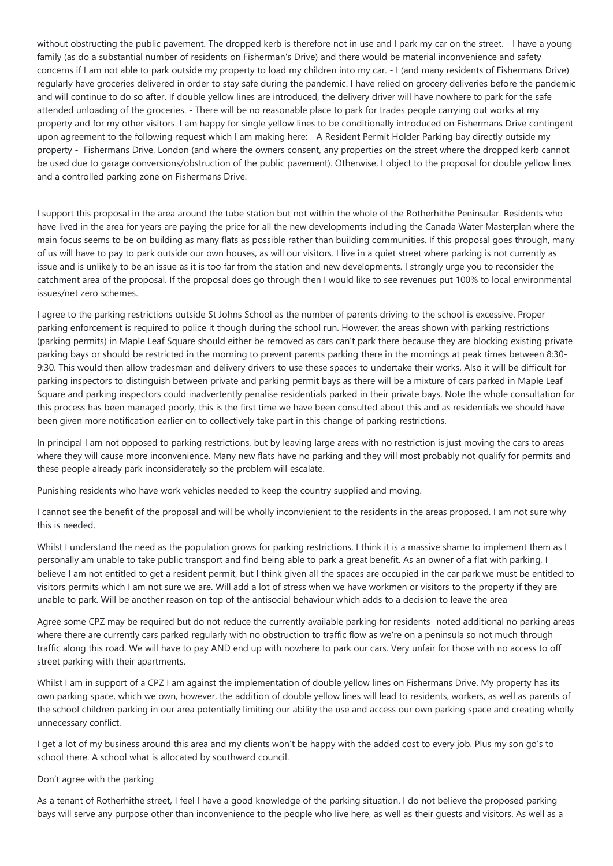without obstructing the public pavement. The dropped kerb is therefore not in use and I park my car on the street. - I have a young family (as do a substantial number of residents on Fisherman's Drive) and there would be material inconvenience and safety concerns if I am not able to park outside my property to load my children into my car. - I (and many residents of Fishermans Drive) regularly have groceries delivered in order to stay safe during the pandemic. I have relied on grocery deliveries before the pandemic and will continue to do so after. If double yellow lines are introduced, the delivery driver will have nowhere to park for the safe attended unloading of the groceries. - There will be no reasonable place to park for trades people carrying out works at my property and for my other visitors. I am happy for single yellow lines to be conditionally introduced on Fishermans Drive contingent upon agreement to the following request which I am making here: - A Resident Permit Holder Parking bay directly outside my property - Fishermans Drive, London (and where the owners consent, any properties on the street where the dropped kerb cannot be used due to garage conversions/obstruction of the public pavement). Otherwise, I object to the proposal for double yellow lines and a controlled parking zone on Fishermans Drive.

I support this proposal in the area around the tube station but not within the whole of the Rotherhithe Peninsular. Residents who have lived in the area for years are paying the price for all the new developments including the Canada Water Masterplan where the main focus seems to be on building as many flats as possible rather than building communities. If this proposal goes through, many of us will have to pay to park outside our own houses, as will our visitors. I live in a quiet street where parking is not currently as issue and is unlikely to be an issue as it is too far from the station and new developments. I strongly urge you to reconsider the catchment area of the proposal. If the proposal does go through then I would like to see revenues put 100% to local environmental issues/net zero schemes.

I agree to the parking restrictions outside St Johns School as the number of parents driving to the school is excessive. Proper parking enforcement is required to police it though during the school run. However, the areas shown with parking restrictions (parking permits) in Maple Leaf Square should either be removed as cars can't park there because they are blocking existing private parking bays or should be restricted in the morning to prevent parents parking there in the mornings at peak times between 8:30- 9:30. This would then allow tradesman and delivery drivers to use these spaces to undertake their works. Also it will be difficult for parking inspectors to distinguish between private and parking permit bays as there will be a mixture of cars parked in Maple Leaf Square and parking inspectors could inadvertently penalise residentials parked in their private bays. Note the whole consultation for this process has been managed poorly, this is the first time we have been consulted about this and as residentials we should have been given more notification earlier on to collectively take part in this change of parking restrictions.

In principal I am not opposed to parking restrictions, but by leaving large areas with no restriction is just moving the cars to areas where they will cause more inconvenience. Many new flats have no parking and they will most probably not qualify for permits and these people already park inconsiderately so the problem will escalate.

Punishing residents who have work vehicles needed to keep the country supplied and moving.

I cannot see the benefit of the proposal and will be wholly inconvienient to the residents in the areas proposed. I am not sure why this is needed.

Whilst I understand the need as the population grows for parking restrictions, I think it is a massive shame to implement them as I personally am unable to take public transport and find being able to park a great benefit. As an owner of a flat with parking, I believe I am not entitled to get a resident permit, but I think given all the spaces are occupied in the car park we must be entitled to visitors permits which I am not sure we are. Will add a lot of stress when we have workmen or visitors to the property if they are unable to park. Will be another reason on top of the antisocial behaviour which adds to a decision to leave the area

Agree some CPZ may be required but do not reduce the currently available parking for residents- noted additional no parking areas where there are currently cars parked regularly with no obstruction to traffic flow as we're on a peninsula so not much through traffic along this road. We will have to pay AND end up with nowhere to park our cars. Very unfair for those with no access to off street parking with their apartments.

Whilst I am in support of a CPZ I am against the implementation of double yellow lines on Fishermans Drive. My property has its own parking space, which we own, however, the addition of double yellow lines will lead to residents, workers, as well as parents of the school children parking in our area potentially limiting our ability the use and access our own parking space and creating wholly unnecessary conflict.

I get a lot of my business around this area and my clients won't be happy with the added cost to every job. Plus my son go's to school there. A school what is allocated by southward council.

# Don't agree with the parking

As a tenant of Rotherhithe street, I feel I have a good knowledge of the parking situation. I do not believe the proposed parking bays will serve any purpose other than inconvenience to the people who live here, as well as their guests and visitors. As well as a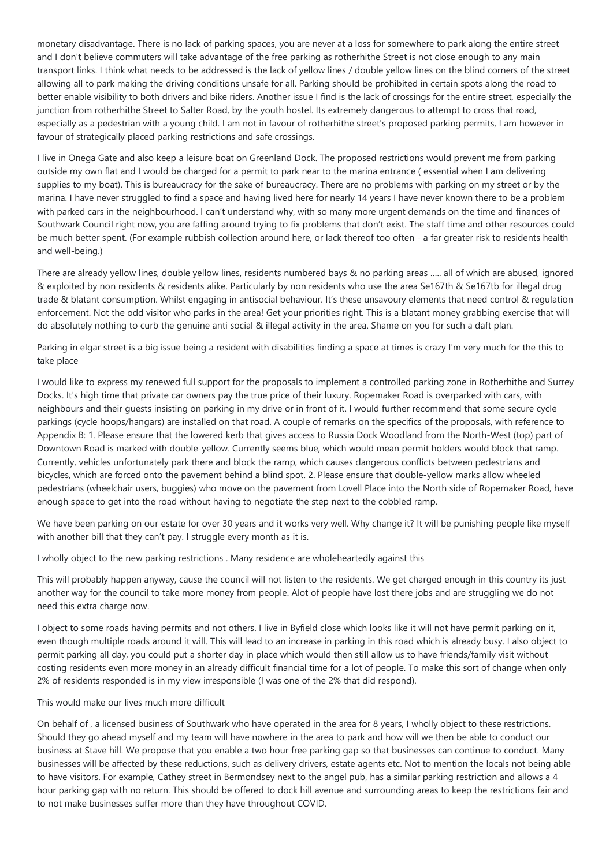monetary disadvantage. There is no lack of parking spaces, you are never at a loss for somewhere to park along the entire street and I don't believe commuters will take advantage of the free parking as rotherhithe Street is not close enough to any main transport links. I think what needs to be addressed is the lack of yellow lines / double yellow lines on the blind corners of the street allowing all to park making the driving conditions unsafe for all. Parking should be prohibited in certain spots along the road to better enable visibility to both drivers and bike riders. Another issue I find is the lack of crossings for the entire street, especially the junction from rotherhithe Street to Salter Road, by the youth hostel. Its extremely dangerous to attempt to cross that road, especially as a pedestrian with a young child. I am not in favour of rotherhithe street's proposed parking permits, I am however in favour of strategically placed parking restrictions and safe crossings.

I live in Onega Gate and also keep a leisure boat on Greenland Dock. The proposed restrictions would prevent me from parking outside my own flat and I would be charged for a permit to park near to the marina entrance ( essential when I am delivering supplies to my boat). This is bureaucracy for the sake of bureaucracy. There are no problems with parking on my street or by the marina. I have never struggled to find a space and having lived here for nearly 14 years I have never known there to be a problem with parked cars in the neighbourhood. I can't understand why, with so many more urgent demands on the time and finances of Southwark Council right now, you are faffing around trying to fix problems that don't exist. The staff time and other resources could be much better spent. (For example rubbish collection around here, or lack thereof too often - a far greater risk to residents health and well-being.)

There are already yellow lines, double yellow lines, residents numbered bays & no parking areas ….. all of which are abused, ignored & exploited by non residents & residents alike. Particularly by non residents who use the area Se167th & Se167tb for illegal drug trade & blatant consumption. Whilst engaging in antisocial behaviour. It's these unsavoury elements that need control & regulation enforcement. Not the odd visitor who parks in the area! Get your priorities right. This is a blatant money grabbing exercise that will do absolutely nothing to curb the genuine anti social & illegal activity in the area. Shame on you for such a daft plan.

Parking in elgar street is a big issue being a resident with disabilities finding a space at times is crazy I'm very much for the this to take place

I would like to express my renewed full support for the proposals to implement a controlled parking zone in Rotherhithe and Surrey Docks. It's high time that private car owners pay the true price of their luxury. Ropemaker Road is overparked with cars, with neighbours and their guests insisting on parking in my drive or in front of it. I would further recommend that some secure cycle parkings (cycle hoops/hangars) are installed on that road. A couple of remarks on the specifics of the proposals, with reference to Appendix B: 1. Please ensure that the lowered kerb that gives access to Russia Dock Woodland from the North-West (top) part of Downtown Road is marked with double-yellow. Currently seems blue, which would mean permit holders would block that ramp. Currently, vehicles unfortunately park there and block the ramp, which causes dangerous conflicts between pedestrians and bicycles, which are forced onto the pavement behind a blind spot. 2. Please ensure that double-yellow marks allow wheeled pedestrians (wheelchair users, buggies) who move on the pavement from Lovell Place into the North side of Ropemaker Road, have enough space to get into the road without having to negotiate the step next to the cobbled ramp.

We have been parking on our estate for over 30 years and it works very well. Why change it? It will be punishing people like myself with another bill that they can't pay. I struggle every month as it is.

I wholly object to the new parking restrictions . Many residence are wholeheartedly against this

This will probably happen anyway, cause the council will not listen to the residents. We get charged enough in this country its just another way for the council to take more money from people. Alot of people have lost there jobs and are struggling we do not need this extra charge now.

I object to some roads having permits and not others. I live in Byfield close which looks like it will not have permit parking on it, even though multiple roads around it will. This will lead to an increase in parking in this road which is already busy. I also object to permit parking all day, you could put a shorter day in place which would then still allow us to have friends/family visit without costing residents even more money in an already difficult financial time for a lot of people. To make this sort of change when only 2% of residents responded is in my view irresponsible (I was one of the 2% that did respond).

# This would make our lives much more difficult

On behalf of , a licensed business of Southwark who have operated in the area for 8 years, I wholly object to these restrictions. Should they go ahead myself and my team will have nowhere in the area to park and how will we then be able to conduct our business at Stave hill. We propose that you enable a two hour free parking gap so that businesses can continue to conduct. Many businesses will be affected by these reductions, such as delivery drivers, estate agents etc. Not to mention the locals not being able to have visitors. For example, Cathey street in Bermondsey next to the angel pub, has a similar parking restriction and allows a 4 hour parking gap with no return. This should be offered to dock hill avenue and surrounding areas to keep the restrictions fair and to not make businesses suffer more than they have throughout COVID.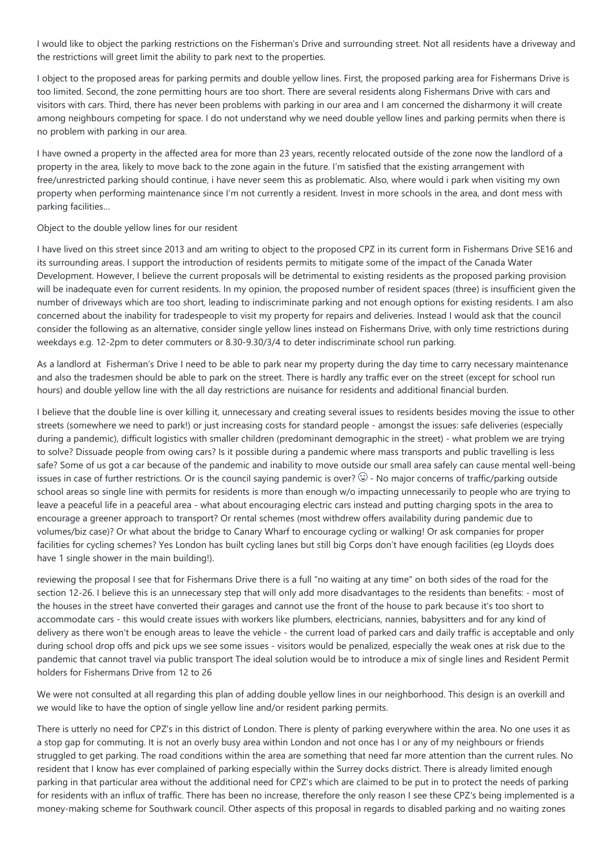I would like to object the parking restrictions on the Fisherman's Drive and surrounding street. Not all residents have a driveway and the restrictions will greet limit the ability to park next to the properties.

I object to the proposed areas for parking permits and double yellow lines. First, the proposed parking area for Fishermans Drive is too limited. Second, the zone permitting hours are too short. There are several residents along Fishermans Drive with cars and visitors with cars. Third, there has never been problems with parking in our area and I am concerned the disharmony it will create among neighbours competing for space. I do not understand why we need double yellow lines and parking permits when there is no problem with parking in our area.

I have owned a property in the affected area for more than 23 years, recently relocated outside of the zone now the landlord of a property in the area, likely to move back to the zone again in the future. I'm satisfied that the existing arrangement with free/unrestricted parking should continue, i have never seem this as problematic. Also, where would i park when visiting my own property when performing maintenance since I'm not currently a resident. Invest in more schools in the area, and dont mess with parking facilities…

## Object to the double yellow lines for our resident

I have lived on this street since 2013 and am writing to object to the proposed CPZ in its current form in Fishermans Drive SE16 and its surrounding areas. I support the introduction of residents permits to mitigate some of the impact of the Canada Water Development. However, I believe the current proposals will be detrimental to existing residents as the proposed parking provision will be inadequate even for current residents. In my opinion, the proposed number of resident spaces (three) is insufficient given the number of driveways which are too short, leading to indiscriminate parking and not enough options for existing residents. I am also concerned about the inability for tradespeople to visit my property for repairs and deliveries. Instead I would ask that the council consider the following as an alternative, consider single yellow lines instead on Fishermans Drive, with only time restrictions during weekdays e.g. 12-2pm to deter commuters or 8.30-9.30/3/4 to deter indiscriminate school run parking.

As a landlord at Fisherman's Drive I need to be able to park near my property during the day time to carry necessary maintenance and also the tradesmen should be able to park on the street. There is hardly any traffic ever on the street (except for school run hours) and double yellow line with the all day restrictions are nuisance for residents and additional financial burden.

I believe that the double line is over killing it, unnecessary and creating several issues to residents besides moving the issue to other streets (somewhere we need to park!) or just increasing costs for standard people - amongst the issues: safe deliveries (especially during a pandemic), difficult logistics with smaller children (predominant demographic in the street) - what problem we are trying to solve? Dissuade people from owing cars? Is it possible during a pandemic where mass transports and public travelling is less safe? Some of us got a car because of the pandemic and inability to move outside our small area safely can cause mental well-being issues in case of further restrictions. Or is the council saying pandemic is over?  $\mathbb G$  - No major concerns of traffic/parking outside school areas so single line with permits for residents is more than enough w/o impacting unnecessarily to people who are trying to leave a peaceful life in a peaceful area - what about encouraging electric cars instead and putting charging spots in the area to encourage a greener approach to transport? Or rental schemes (most withdrew offers availability during pandemic due to volumes/biz case)? Or what about the bridge to Canary Wharf to encourage cycling or walking! Or ask companies for proper facilities for cycling schemes? Yes London has built cycling lanes but still big Corps don't have enough facilities (eg Lloyds does have 1 single shower in the main building!).

reviewing the proposal I see that for Fishermans Drive there is a full "no waiting at any time" on both sides of the road for the section 12-26. I believe this is an unnecessary step that will only add more disadvantages to the residents than benefits: - most of the houses in the street have converted their garages and cannot use the front of the house to park because it's too short to accommodate cars - this would create issues with workers like plumbers, electricians, nannies, babysitters and for any kind of delivery as there won't be enough areas to leave the vehicle - the current load of parked cars and daily traffic is acceptable and only during school drop offs and pick ups we see some issues - visitors would be penalized, especially the weak ones at risk due to the pandemic that cannot travel via public transport The ideal solution would be to introduce a mix of single lines and Resident Permit holders for Fishermans Drive from 12 to 26

We were not consulted at all regarding this plan of adding double yellow lines in our neighborhood. This design is an overkill and we would like to have the option of single yellow line and/or resident parking permits.

There is utterly no need for CPZ's in this district of London. There is plenty of parking everywhere within the area. No one uses it as a stop gap for commuting. It is not an overly busy area within London and not once has I or any of my neighbours or friends struggled to get parking. The road conditions within the area are something that need far more attention than the current rules. No resident that I know has ever complained of parking especially within the Surrey docks district. There is already limited enough parking in that particular area without the additional need for CPZ's which are claimed to be put in to protect the needs of parking for residents with an influx of traffic. There has been no increase, therefore the only reason I see these CPZ's being implemented is a money-making scheme for Southwark council. Other aspects of this proposal in regards to disabled parking and no waiting zones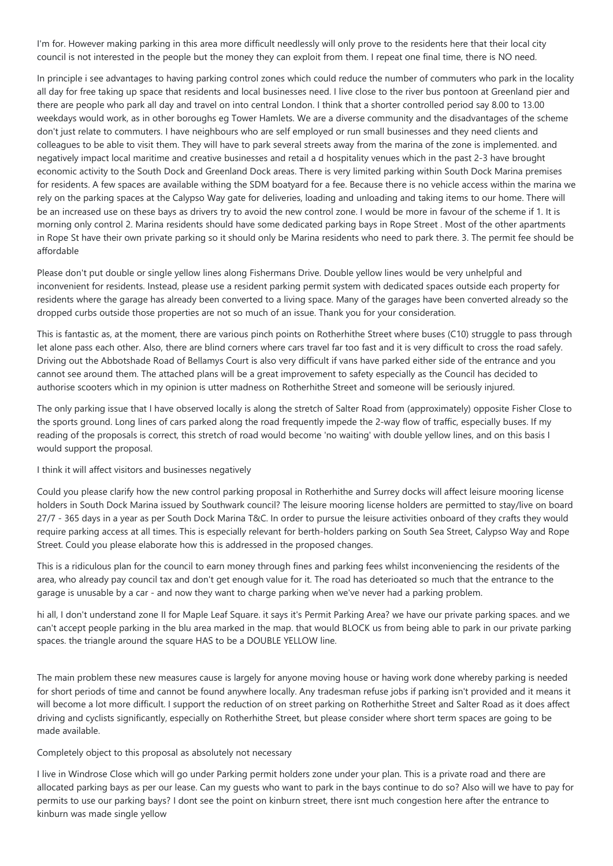I'm for. However making parking in this area more difficult needlessly will only prove to the residents here that their local city council is not interested in the people but the money they can exploit from them. I repeat one final time, there is NO need.

In principle i see advantages to having parking control zones which could reduce the number of commuters who park in the locality all day for free taking up space that residents and local businesses need. I live close to the river bus pontoon at Greenland pier and there are people who park all day and travel on into central London. I think that a shorter controlled period say 8.00 to 13.00 weekdays would work, as in other boroughs eg Tower Hamlets. We are a diverse community and the disadvantages of the scheme don't just relate to commuters. I have neighbours who are self employed or run small businesses and they need clients and colleagues to be able to visit them. They will have to park several streets away from the marina of the zone is implemented. and negatively impact local maritime and creative businesses and retail a d hospitality venues which in the past 2-3 have brought economic activity to the South Dock and Greenland Dock areas. There is very limited parking within South Dock Marina premises for residents. A few spaces are available withing the SDM boatyard for a fee. Because there is no vehicle access within the marina we rely on the parking spaces at the Calypso Way gate for deliveries, loading and unloading and taking items to our home. There will be an increased use on these bays as drivers try to avoid the new control zone. I would be more in favour of the scheme if 1. It is morning only control 2. Marina residents should have some dedicated parking bays in Rope Street . Most of the other apartments in Rope St have their own private parking so it should only be Marina residents who need to park there. 3. The permit fee should be affordable

Please don't put double or single yellow lines along Fishermans Drive. Double yellow lines would be very unhelpful and inconvenient for residents. Instead, please use a resident parking permit system with dedicated spaces outside each property for residents where the garage has already been converted to a living space. Many of the garages have been converted already so the dropped curbs outside those properties are not so much of an issue. Thank you for your consideration.

This is fantastic as, at the moment, there are various pinch points on Rotherhithe Street where buses (C10) struggle to pass through let alone pass each other. Also, there are blind corners where cars travel far too fast and it is very difficult to cross the road safely. Driving out the Abbotshade Road of Bellamys Court is also very difficult if vans have parked either side of the entrance and you cannot see around them. The attached plans will be a great improvement to safety especially as the Council has decided to authorise scooters which in my opinion is utter madness on Rotherhithe Street and someone will be seriously injured.

The only parking issue that I have observed locally is along the stretch of Salter Road from (approximately) opposite Fisher Close to the sports ground. Long lines of cars parked along the road frequently impede the 2-way flow of traffic, especially buses. If my reading of the proposals is correct, this stretch of road would become 'no waiting' with double yellow lines, and on this basis I would support the proposal.

### I think it will affect visitors and businesses negatively

Could you please clarify how the new control parking proposal in Rotherhithe and Surrey docks will affect leisure mooring license holders in South Dock Marina issued by Southwark council? The leisure mooring license holders are permitted to stay/live on board 27/7 - 365 days in a year as per South Dock Marina T&C. In order to pursue the leisure activities onboard of they crafts they would require parking access at all times. This is especially relevant for berth-holders parking on South Sea Street, Calypso Way and Rope Street. Could you please elaborate how this is addressed in the proposed changes.

This is a ridiculous plan for the council to earn money through fines and parking fees whilst inconveniencing the residents of the area, who already pay council tax and don't get enough value for it. The road has deterioated so much that the entrance to the garage is unusable by a car - and now they want to charge parking when we've never had a parking problem.

hi all, I don't understand zone II for Maple Leaf Square. it says it's Permit Parking Area? we have our private parking spaces. and we can't accept people parking in the blu area marked in the map. that would BLOCK us from being able to park in our private parking spaces. the triangle around the square HAS to be a DOUBLE YELLOW line.

The main problem these new measures cause is largely for anyone moving house or having work done whereby parking is needed for short periods of time and cannot be found anywhere locally. Any tradesman refuse jobs if parking isn't provided and it means it will become a lot more difficult. I support the reduction of on street parking on Rotherhithe Street and Salter Road as it does affect driving and cyclists significantly, especially on Rotherhithe Street, but please consider where short term spaces are going to be made available.

#### Completely object to this proposal as absolutely not necessary

I live in Windrose Close which will go under Parking permit holders zone under your plan. This is a private road and there are allocated parking bays as per our lease. Can my guests who want to park in the bays continue to do so? Also will we have to pay for permits to use our parking bays? I dont see the point on kinburn street, there isnt much congestion here after the entrance to kinburn was made single yellow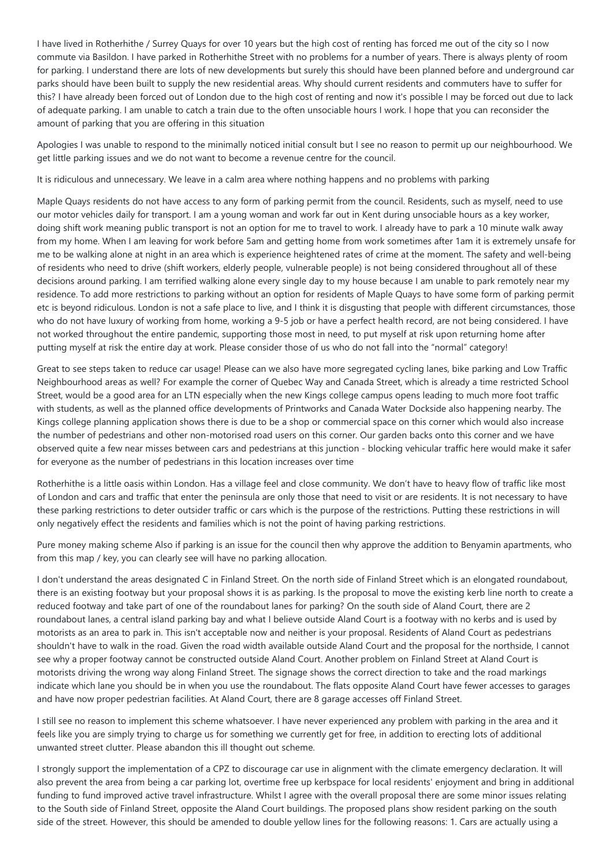I have lived in Rotherhithe / Surrey Quays for over 10 years but the high cost of renting has forced me out of the city so I now commute via Basildon. I have parked in Rotherhithe Street with no problems for a number of years. There is always plenty of room for parking. I understand there are lots of new developments but surely this should have been planned before and underground car parks should have been built to supply the new residential areas. Why should current residents and commuters have to suffer for this? I have already been forced out of London due to the high cost of renting and now it's possible I may be forced out due to lack of adequate parking. I am unable to catch a train due to the often unsociable hours I work. I hope that you can reconsider the amount of parking that you are offering in this situation

Apologies I was unable to respond to the minimally noticed initial consult but I see no reason to permit up our neighbourhood. We get little parking issues and we do not want to become a revenue centre for the council.

It is ridiculous and unnecessary. We leave in a calm area where nothing happens and no problems with parking

Maple Quays residents do not have access to any form of parking permit from the council. Residents, such as myself, need to use our motor vehicles daily for transport. I am a young woman and work far out in Kent during unsociable hours as a key worker, doing shift work meaning public transport is not an option for me to travel to work. I already have to park a 10 minute walk away from my home. When I am leaving for work before 5am and getting home from work sometimes after 1am it is extremely unsafe for me to be walking alone at night in an area which is experience heightened rates of crime at the moment. The safety and well-being of residents who need to drive (shift workers, elderly people, vulnerable people) is not being considered throughout all of these decisions around parking. I am terrified walking alone every single day to my house because I am unable to park remotely near my residence. To add more restrictions to parking without an option for residents of Maple Quays to have some form of parking permit etc is beyond ridiculous. London is not a safe place to live, and I think it is disgusting that people with different circumstances, those who do not have luxury of working from home, working a 9-5 job or have a perfect health record, are not being considered. I have not worked throughout the entire pandemic, supporting those most in need, to put myself at risk upon returning home after putting myself at risk the entire day at work. Please consider those of us who do not fall into the "normal" category!

Great to see steps taken to reduce car usage! Please can we also have more segregated cycling lanes, bike parking and Low Traffic Neighbourhood areas as well? For example the corner of Quebec Way and Canada Street, which is already a time restricted School Street, would be a good area for an LTN especially when the new Kings college campus opens leading to much more foot traffic with students, as well as the planned office developments of Printworks and Canada Water Dockside also happening nearby. The Kings college planning application shows there is due to be a shop or commercial space on this corner which would also increase the number of pedestrians and other non-motorised road users on this corner. Our garden backs onto this corner and we have observed quite a few near misses between cars and pedestrians at this junction - blocking vehicular traffic here would make it safer for everyone as the number of pedestrians in this location increases over time

Rotherhithe is a little oasis within London. Has a village feel and close community. We don't have to heavy flow of traffic like most of London and cars and traffic that enter the peninsula are only those that need to visit or are residents. It is not necessary to have these parking restrictions to deter outsider traffic or cars which is the purpose of the restrictions. Putting these restrictions in will only negatively effect the residents and families which is not the point of having parking restrictions.

Pure money making scheme Also if parking is an issue for the council then why approve the addition to Benyamin apartments, who from this map / key, you can clearly see will have no parking allocation.

I don't understand the areas designated C in Finland Street. On the north side of Finland Street which is an elongated roundabout, there is an existing footway but your proposal shows it is as parking. Is the proposal to move the existing kerb line north to create a reduced footway and take part of one of the roundabout lanes for parking? On the south side of Aland Court, there are 2 roundabout lanes, a central island parking bay and what I believe outside Aland Court is a footway with no kerbs and is used by motorists as an area to park in. This isn't acceptable now and neither is your proposal. Residents of Aland Court as pedestrians shouldn't have to walk in the road. Given the road width available outside Aland Court and the proposal for the northside, I cannot see why a proper footway cannot be constructed outside Aland Court. Another problem on Finland Street at Aland Court is motorists driving the wrong way along Finland Street. The signage shows the correct direction to take and the road markings indicate which lane you should be in when you use the roundabout. The flats opposite Aland Court have fewer accesses to garages and have now proper pedestrian facilities. At Aland Court, there are 8 garage accesses off Finland Street.

I still see no reason to implement this scheme whatsoever. I have never experienced any problem with parking in the area and it feels like you are simply trying to charge us for something we currently get for free, in addition to erecting lots of additional unwanted street clutter. Please abandon this ill thought out scheme.

I strongly support the implementation of a CPZ to discourage car use in alignment with the climate emergency declaration. It will also prevent the area from being a car parking lot, overtime free up kerbspace for local residents' enjoyment and bring in additional funding to fund improved active travel infrastructure. Whilst I agree with the overall proposal there are some minor issues relating to the South side of Finland Street, opposite the Aland Court buildings. The proposed plans show resident parking on the south side of the street. However, this should be amended to double yellow lines for the following reasons: 1. Cars are actually using a